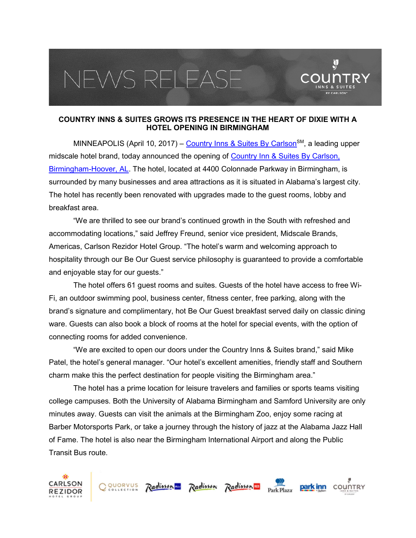## EWS RELEAS



 $\mathbf{\hat{y}}$ 

MINNEAPOLIS (April 10, 2017) – Country Inns & Suites By Carlson<sup>SM</sup>, a leading upper midscale hotel brand, today announced the opening of Country Inn & Suites By Carlson, Birmingham-Hoover, AL. The hotel, located at 4400 Colonnade Parkway in Birmingham, is surrounded by many businesses and area attractions as it is situated in Alabama's largest city. The hotel has recently been renovated with upgrades made to the guest rooms, lobby and breakfast area.

"We are thrilled to see our brand's continued growth in the South with refreshed and accommodating locations," said Jeffrey Freund, senior vice president, Midscale Brands, Americas, Carlson Rezidor Hotel Group. "The hotel's warm and welcoming approach to hospitality through our Be Our Guest service philosophy is guaranteed to provide a comfortable and enjoyable stay for our guests."

The hotel offers 61 guest rooms and suites. Guests of the hotel have access to free Wi-Fi, an outdoor swimming pool, business center, fitness center, free parking, along with the brand's signature and complimentary, hot Be Our Guest breakfast served daily on classic dining ware. Guests can also book a block of rooms at the hotel for special events, with the option of connecting rooms for added convenience.

"We are excited to open our doors under the Country Inns & Suites brand," said Mike Patel, the hotel's general manager. "Our hotel's excellent amenities, friendly staff and Southern charm make this the perfect destination for people visiting the Birmingham area."

The hotel has a prime location for leisure travelers and families or sports teams visiting college campuses. Both the University of Alabama Birmingham and Samford University are only minutes away. Guests can visit the animals at the Birmingham Zoo, enjoy some racing at Barber Motorsports Park, or take a journey through the history of jazz at the Alabama Jazz Hall of Fame. The hotel is also near the Birmingham International Airport and along the Public Transit Bus route.